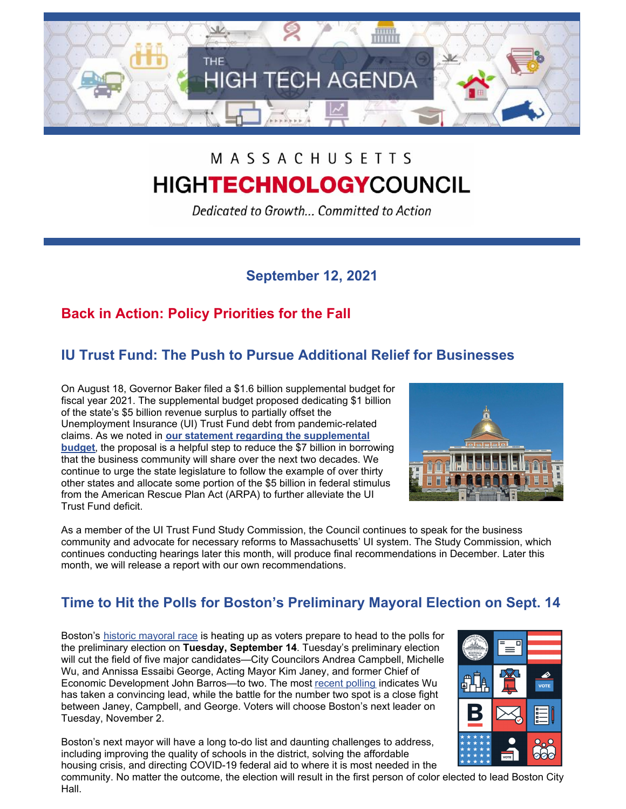

## MASSACHUSETTS **HIGHTECHNOLOGYCOUNCIL**

Dedicated to Growth... Committed to Action

#### **September 12, 2021**

### **Back in Action: Policy Priorities for the Fall**

### **IU Trust Fund: The Push to Pursue Additional Relief for Businesses**

On August 18, Governor Baker filed a \$1.6 billion supplemental budget for fiscal year 2021. The supplemental budget proposed dedicating \$1 billion of the state's \$5 billion revenue surplus to partially offset the Unemployment Insurance (UI) Trust Fund debt from pandemic-related claims. As we noted in **our statement regarding the [supplemental](http://www.mhtc.org/wp-content/uploads/2021/08/MHTC-Baker-Administration-Supplemental-Budget-FY21-UI-Statement_8.18.21_FINAL-1.pdf) budget**, the proposal is a helpful step to reduce the \$7 billion in borrowing that the business community will share over the next two decades. We continue to urge the state legislature to follow the example of over thirty other states and allocate some portion of the \$5 billion in federal stimulus from the American Rescue Plan Act (ARPA) to further alleviate the UI Trust Fund deficit.



As a member of the UI Trust Fund Study Commission, the Council continues to speak for the business community and advocate for necessary reforms to Massachusetts' UI system. The Study Commission, which continues conducting hearings later this month, will produce final recommendations in December. Later this month, we will release a report with our own recommendations.

#### **Time to Hit the Polls for Boston's Preliminary Mayoral Election on Sept. 14**

Boston's historic [mayoral](https://ballotpedia.org/Mayoral_election_in_Boston,_Massachusetts_(2021)#Polls) race is heating up as voters prepare to head to the polls for the preliminary election on **Tuesday, September 14**. Tuesday's preliminary election will cut the field of five major candidates—City Councilors Andrea Campbell, Michelle Wu, and Annissa Essaibi George, Acting Mayor Kim Janey, and former Chief of Economic Development John Barros—to two. The most recent [polling](https://emersonpolling.reportablenews.com/pr/boston-mayoral-poll-wu-extends-lead-in-preliminary-election-second-place-still-a-dead-heat) indicates Wu has taken a convincing lead, while the battle for the number two spot is a close fight between Janey, Campbell, and George. Voters will choose Boston's next leader on Tuesday, November 2.

Boston's next mayor will have a long to-do list and daunting challenges to address, including improving the quality of schools in the district, solving the affordable housing crisis, and directing COVID-19 federal aid to where it is most needed in the



community. No matter the outcome, the election will result in the first person of color elected to lead Boston City Hall.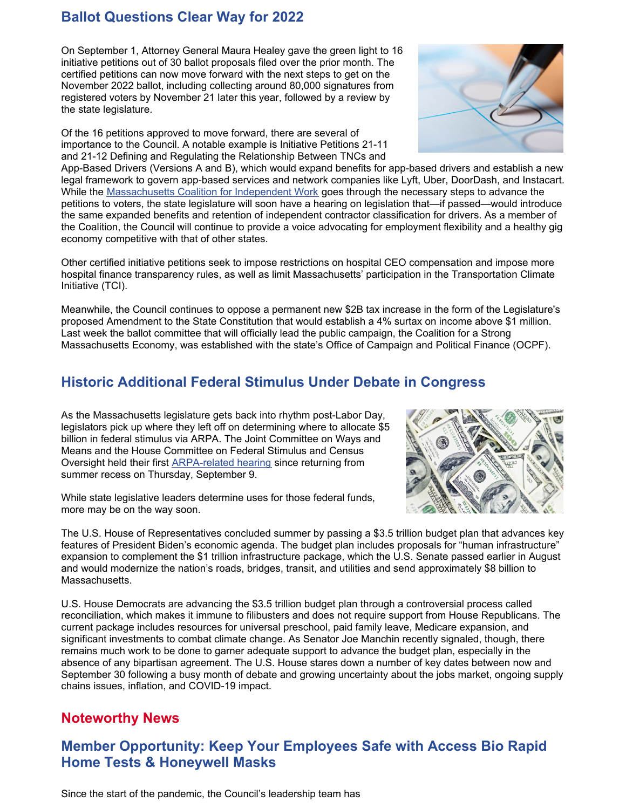#### **Ballot Questions Clear Way for 2022**

On September 1, Attorney General Maura Healey gave the green light to 16 initiative petitions out of 30 ballot proposals filed over the prior month. The certified petitions can now move forward with the next steps to get on the November 2022 ballot, including collecting around 80,000 signatures from registered voters by November 21 later this year, followed by a review by the state legislature.

Of the 16 petitions approved to move forward, there are several of importance to the Council. A notable example is Initiative Petitions 21-11 and 21-12 Defining and Regulating the Relationship Between TNCs and

App-Based Drivers (Versions A and B), which would expand benefits for app-based drivers and establish a new legal framework to govern app-based services and network companies like Lyft, Uber, DoorDash, and Instacart. While the [Massachusetts](https://independentmass.org/) Coalition for Independent Work goes through the necessary steps to advance the petitions to voters, the state legislature will soon have a hearing on legislation that—if passed—would introduce the same expanded benefits and retention of independent contractor classification for drivers. As a member of the Coalition, the Council will continue to provide a voice advocating for employment flexibility and a healthy gig economy competitive with that of other states.

Other certified initiative petitions seek to impose restrictions on hospital CEO compensation and impose more hospital finance transparency rules, as well as limit Massachusetts' participation in the Transportation Climate Initiative (TCI).

Meanwhile, the Council continues to oppose a permanent new \$2B tax increase in the form of the Legislature's proposed Amendment to the State Constitution that would establish a 4% surtax on income above \$1 million. Last week the ballot committee that will officially lead the public campaign, the Coalition for a Strong Massachusetts Economy, was established with the state's Office of Campaign and Political Finance (OCPF).

#### **Historic Additional Federal Stimulus Under Debate in Congress**

As the Massachusetts legislature gets back into rhythm post-Labor Day, legislators pick up where they left off on determining where to allocate \$5 billion in federal stimulus via ARPA. The Joint Committee on Ways and Means and the House Committee on Federal Stimulus and Census Oversight held their first [ARPA-related](https://malegislature.gov/Events/Hearings/Detail/3928) hearing since returning from summer recess on Thursday, September 9.

While state legislative leaders determine uses for those federal funds, more may be on the way soon.

The U.S. House of Representatives concluded summer by passing a \$3.5 trillion budget plan that advances key features of President Biden's economic agenda. The budget plan includes proposals for "human infrastructure" expansion to complement the \$1 trillion infrastructure package, which the U.S. Senate passed earlier in August and would modernize the nation's roads, bridges, transit, and utilities and send approximately \$8 billion to Massachusetts.

U.S. House Democrats are advancing the \$3.5 trillion budget plan through a controversial process called reconciliation, which makes it immune to filibusters and does not require support from House Republicans. The current package includes resources for universal preschool, paid family leave, Medicare expansion, and significant investments to combat climate change. As Senator Joe Manchin recently signaled, though, there remains much work to be done to garner adequate support to advance the budget plan, especially in the absence of any bipartisan agreement. The U.S. House stares down a number of key dates between now and September 30 following a busy month of debate and growing uncertainty about the jobs market, ongoing supply chains issues, inflation, and COVID-19 impact.

#### **Noteworthy News**

#### **Member Opportunity: Keep Your Employees Safe with Access Bio Rapid Home Tests & Honeywell Masks**



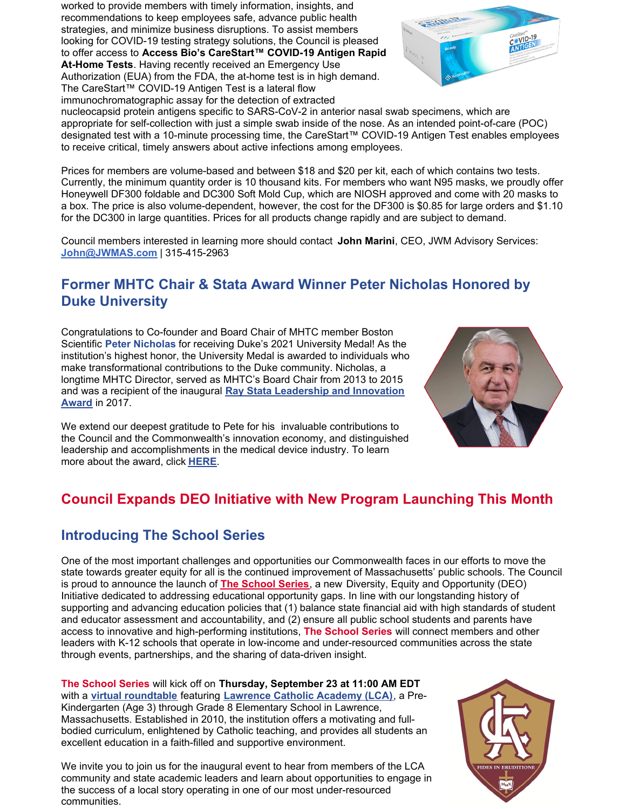recommendations to keep employees safe, advance public health strategies, and minimize business disruptions. To assist members looking for COVID-19 testing strategy solutions, the Council is pleased to offer access to **Access Bio's CareStart™ COVID-19 Antigen Rapid At-Home Tests**. Having recently received an Emergency Use Authorization (EUA) from the FDA, the at-home test is in high demand. The CareStart™ COVID-19 Antigen Test is a lateral flow immunochromatographic assay for the detection of extracted

worked to provide members with timely information, insights, and



nucleocapsid protein antigens specific to SARS-CoV-2 in anterior nasal swab specimens, which are appropriate for self-collection with just a simple swab inside of the nose. As an intended point-of-care (POC) designated test with a 10-minute processing time, the CareStart™ COVID-19 Antigen Test enables employees to receive critical, timely answers about active infections among employees.

Prices for members are volume-based and between \$18 and \$20 per kit, each of which contains two tests. Currently, the minimum quantity order is 10 thousand kits. For members who want N95 masks, we proudly offer Honeywell DF300 foldable and DC300 Soft Mold Cup, which are NIOSH approved and come with 20 masks to a box. The price is also volume-dependent, however, the cost for the DF300 is \$0.85 for large orders and \$1.10 for the DC300 in large quantities. Prices for all products change rapidly and are subject to demand.

Council members interested in learning more should contact **John Marini**, CEO, JWM Advisory Services: **[John@JWMAS.com](mailto:John@JWMAS.com)** | 315-415-2963

#### **Former MHTC Chair & Stata Award Winner Peter Nicholas Honored by Duke University**

Congratulations to Co-founder and Board Chair of MHTC member Boston Scientific **Peter Nicholas** for receiving Duke's 2021 University Medal! As the institution's highest honor, the University Medal is awarded to individuals who make transformational contributions to the Duke community. Nicholas, a longtime MHTC Director, served as MHTC's Board Chair from 2013 to 2015 and was a recipient of the inaugural **Ray Stata [Leadership](http://www.mhtc.org/news-and-events/events/annual-meetings/bay-state-leadership-award/) and Innovation Award** in 2017.

We extend our deepest gratitude to Pete for his invaluable contributions to the Council and the Commonwealth's innovation economy, and distinguished leadership and accomplishments in the medical device industry. To learn more about the award, click **[HERE](https://today.duke.edu/2021/09/three-receive-university-medals)**.

# **Council Expands DEO Initiative with New Program Launching This Month**

#### **Introducing The School Series**

One of the most important challenges and opportunities our Commonwealth faces in our efforts to move the state towards greater equity for all is the continued improvement of Massachusetts' public schools. The Council is proud to announce the launch of **The [School](http://www.mhtc.org/the-school-series/) Series**, a new Diversity, Equity and Opportunity (DEO) Initiative dedicated to addressing educational opportunity gaps. In line with our longstanding history of supporting and advancing education policies that (1) balance state financial aid with high standards of student and educator assessment and accountability, and (2) ensure all public school students and parents have access to innovative and high-performing institutions, **The School Series** will connect members and other leaders with K-12 schools that operate in low-income and under-resourced communities across the state through events, partnerships, and the sharing of data-driven insight.

**The School Series** will kick off on **Thursday, September 23 at 11:00 AM EDT** with a **virtual [roundtable](https://us06web.zoom.us/webinar/register/6716313068732/WN_rkGiP3KISFaqyCWOYRGLQQ)** featuring **[Lawrence](https://www.lawrencecatholicacademy.net/) Catholic Academy (LCA)**, a Pre-Kindergarten (Age 3) through Grade 8 Elementary School in Lawrence, Massachusetts. Established in 2010, the institution offers a motivating and fullbodied curriculum, enlightened by Catholic teaching, and provides all students an excellent education in a faith-filled and supportive environment.

We invite you to join us for the inaugural event to hear from members of the LCA community and state academic leaders and learn about opportunities to engage in the success of a local story operating in one of our most under-resourced communities.



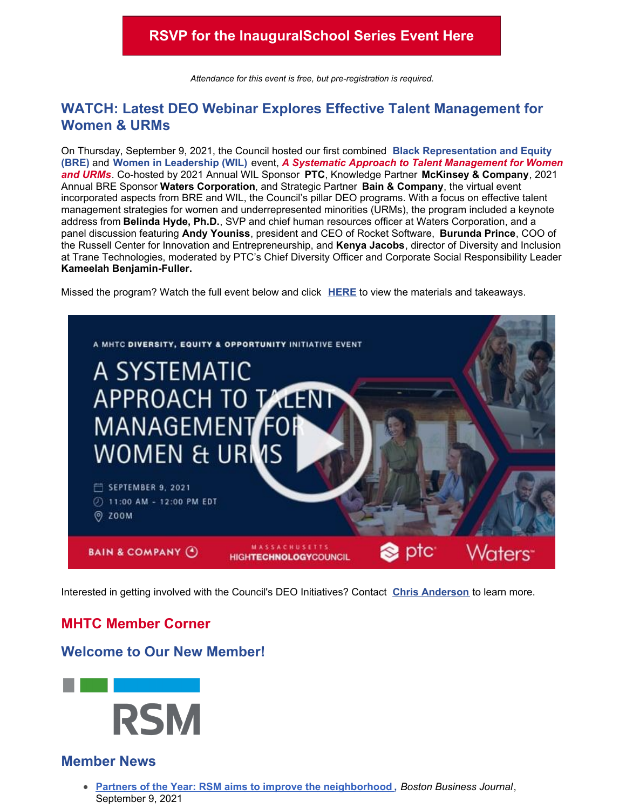*Attendance for this event is free, but pre-registration is required.*

#### **WATCH: Latest DEO Webinar Explores Effective Talent Management for Women & URMs**

On Thursday, September 9, 2021, the Council hosted our first combined **Black Representation and Equity (BRE)** and **Women in Leadership (WIL)** event, *A Systematic Approach to Talent Management for Women and URMs*. Co-hosted by 2021 Annual WIL Sponsor **PTC**, Knowledge Partner **McKinsey & Company**, 2021 Annual BRE Sponsor **Waters Corporation**, and Strategic Partner **Bain & Company**, the virtual event incorporated aspects from BRE and WIL, the Council's pillar DEO programs. With a focus on effective talent management strategies for women and underrepresented minorities (URMs), the program included a keynote address from **Belinda Hyde, Ph.D.**, SVP and chief human resources officer at Waters Corporation, and a panel discussion featuring **Andy Youniss**, president and CEO of Rocket Software, **Burunda Prince**, COO of the Russell Center for Innovation and Entrepreneurship, and **Kenya Jacobs**, director of Diversity and Inclusion at Trane Technologies, moderated by PTC's Chief Diversity Officer and Corporate Social Responsibility Leader **Kameelah Benjamin-Fuller.**

Missed the program? Watch the full event below and click **[HERE](http://www.mhtc.org/wp-content/uploads/2021/09/A-Systematic-Approach-to-Talent-Management-for-Women-URMs_MHTC-DEO-Takeaways_9.9.2021.pdf)** to view the materials and takeaways.



Interested in getting involved with the Council's DEO Initiatives? Contact **Chris [Anderson](mailto:chris@mhtc.org)** to learn more.

#### **MHTC Member Corner**

#### **Welcome to Our New Member!**



#### **Member News**

**Partners of the Year: RSM aims to improve the [neighborhood](https://www.bizjournals.com/boston/news/2021/09/09/partners-of-the-year-rsm-aims-to-improve-the-neig.html) ,** *Boston Business Journal*, September 9, 2021